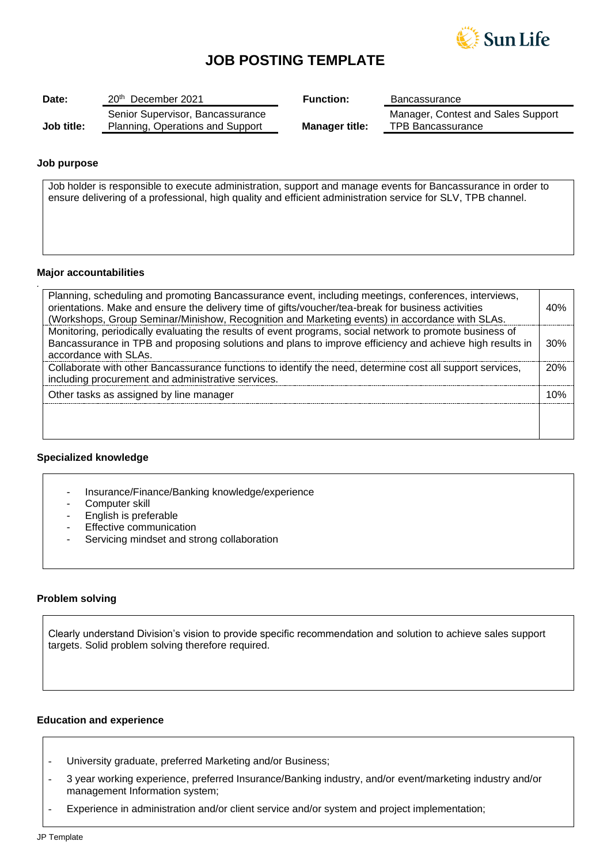

# **JOB POSTING TEMPLATE**

| Date:      | 20 <sup>th</sup> December 2021                                       | <b>Function:</b>      | Bancassurance                                                  |
|------------|----------------------------------------------------------------------|-----------------------|----------------------------------------------------------------|
| Job title: | Senior Supervisor, Bancassurance<br>Planning, Operations and Support | <b>Manager title:</b> | Manager, Contest and Sales Support<br><b>TPB Bancassurance</b> |

## **Job purpose**

*.*

Job holder is responsible to execute administration, support and manage events for Bancassurance in order to ensure delivering of a professional, high quality and efficient administration service for SLV, TPB channel.

#### **Major accountabilities**

| Planning, scheduling and promoting Bancassurance event, including meetings, conferences, interviews,<br>orientations. Make and ensure the delivery time of gifts/voucher/tea-break for business activities<br>(Workshops, Group Seminar/Minishow, Recognition and Marketing events) in accordance with SLAs. | 40% |
|--------------------------------------------------------------------------------------------------------------------------------------------------------------------------------------------------------------------------------------------------------------------------------------------------------------|-----|
| Monitoring, periodically evaluating the results of event programs, social network to promote business of<br>Bancassurance in TPB and proposing solutions and plans to improve efficiency and achieve high results in<br>accordance with SLAs.                                                                | 30% |
| Collaborate with other Bancassurance functions to identify the need, determine cost all support services,<br>including procurement and administrative services.                                                                                                                                              | 20% |
| Other tasks as assigned by line manager                                                                                                                                                                                                                                                                      | 1በ% |
|                                                                                                                                                                                                                                                                                                              |     |

### **Specialized knowledge**

- Insurance/Finance/Banking knowledge/experience
- Computer skill
- English is preferable
- Effective communication
- Servicing mindset and strong collaboration

### **Problem solving**

Clearly understand Division's vision to provide specific recommendation and solution to achieve sales support targets. Solid problem solving therefore required.

## **Education and experience**

- University graduate, preferred Marketing and/or Business;
- 3 year working experience, preferred Insurance/Banking industry, and/or event/marketing industry and/or management Information system;
- Experience in administration and/or client service and/or system and project implementation;